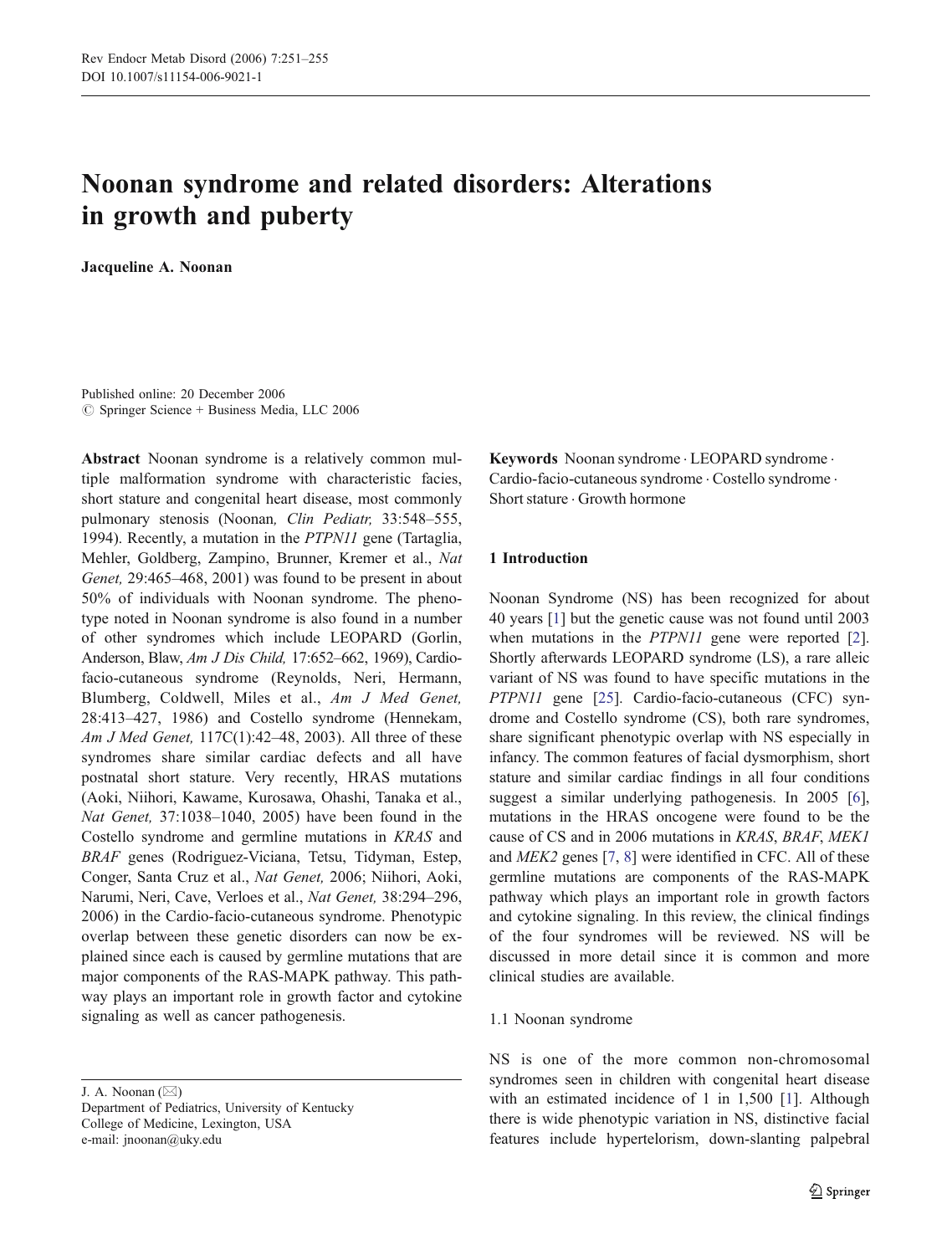# Noonan syndrome and related disorders: Alterations in growth and puberty

Jacqueline A. Noonan

Published online: 20 December 2006  $\odot$  Springer Science + Business Media, LLC 2006

Abstract Noonan syndrome is a relatively common multiple malformation syndrome with characteristic facies, short stature and congenital heart disease, most commonly pulmonary stenosis (Noonan, Clin Pediatr, 33:548–555, 1994). Recently, a mutation in the PTPN11 gene (Tartaglia, Mehler, Goldberg, Zampino, Brunner, Kremer et al., Nat Genet, 29:465–468, 2001) was found to be present in about 50% of individuals with Noonan syndrome. The phenotype noted in Noonan syndrome is also found in a number of other syndromes which include LEOPARD (Gorlin, Anderson, Blaw, Am J Dis Child, 17:652–662, 1969), Cardiofacio-cutaneous syndrome (Reynolds, Neri, Hermann, Blumberg, Coldwell, Miles et al., Am J Med Genet, 28:413–427, 1986) and Costello syndrome (Hennekam, Am J Med Genet, 117C(1):42–48, 2003). All three of these syndromes share similar cardiac defects and all have postnatal short stature. Very recently, HRAS mutations (Aoki, Niihori, Kawame, Kurosawa, Ohashi, Tanaka et al., Nat Genet, 37:1038–1040, 2005) have been found in the Costello syndrome and germline mutations in KRAS and BRAF genes (Rodriguez-Viciana, Tetsu, Tidyman, Estep, Conger, Santa Cruz et al., Nat Genet, 2006; Niihori, Aoki, Narumi, Neri, Cave, Verloes et al., Nat Genet, 38:294–296, 2006) in the Cardio-facio-cutaneous syndrome. Phenotypic overlap between these genetic disorders can now be explained since each is caused by germline mutations that are major components of the RAS-MAPK pathway. This pathway plays an important role in growth factor and cytokine signaling as well as cancer pathogenesis.

J. A. Noonan  $(\boxtimes)$ 

Keywords Noonan syndrome . LEOPARD syndrome . Cardio-facio-cutaneous syndrome . Costello syndrome . Short stature . Growth hormone

## 1 Introduction

Noonan Syndrome (NS) has been recognized for about 40 years [[1\]](#page-4-0) but the genetic cause was not found until 2003 when mutations in the PTPN11 gene were reported [[2\]](#page-4-0). Shortly afterwards LEOPARD syndrome (LS), a rare alleic variant of NS was found to have specific mutations in the PTPN11 gene [\[25](#page-4-0)]. Cardio-facio-cutaneous (CFC) syndrome and Costello syndrome (CS), both rare syndromes, share significant phenotypic overlap with NS especially in infancy. The common features of facial dysmorphism, short stature and similar cardiac findings in all four conditions suggest a similar underlying pathogenesis. In 2005 [[6\]](#page-4-0), mutations in the HRAS oncogene were found to be the cause of CS and in 2006 mutations in KRAS, BRAF, MEK1 and MEK2 genes [\[7](#page-4-0), [8](#page-4-0)] were identified in CFC. All of these germline mutations are components of the RAS-MAPK pathway which plays an important role in growth factors and cytokine signaling. In this review, the clinical findings of the four syndromes will be reviewed. NS will be discussed in more detail since it is common and more clinical studies are available.

#### 1.1 Noonan syndrome

NS is one of the more common non-chromosomal syndromes seen in children with congenital heart disease with an estimated incidence of 1 in 1,500 [\[1](#page-4-0)]. Although there is wide phenotypic variation in NS, distinctive facial features include hypertelorism, down-slanting palpebral

Department of Pediatrics, University of Kentucky College of Medicine, Lexington, USA e-mail: jnoonan@uky.edu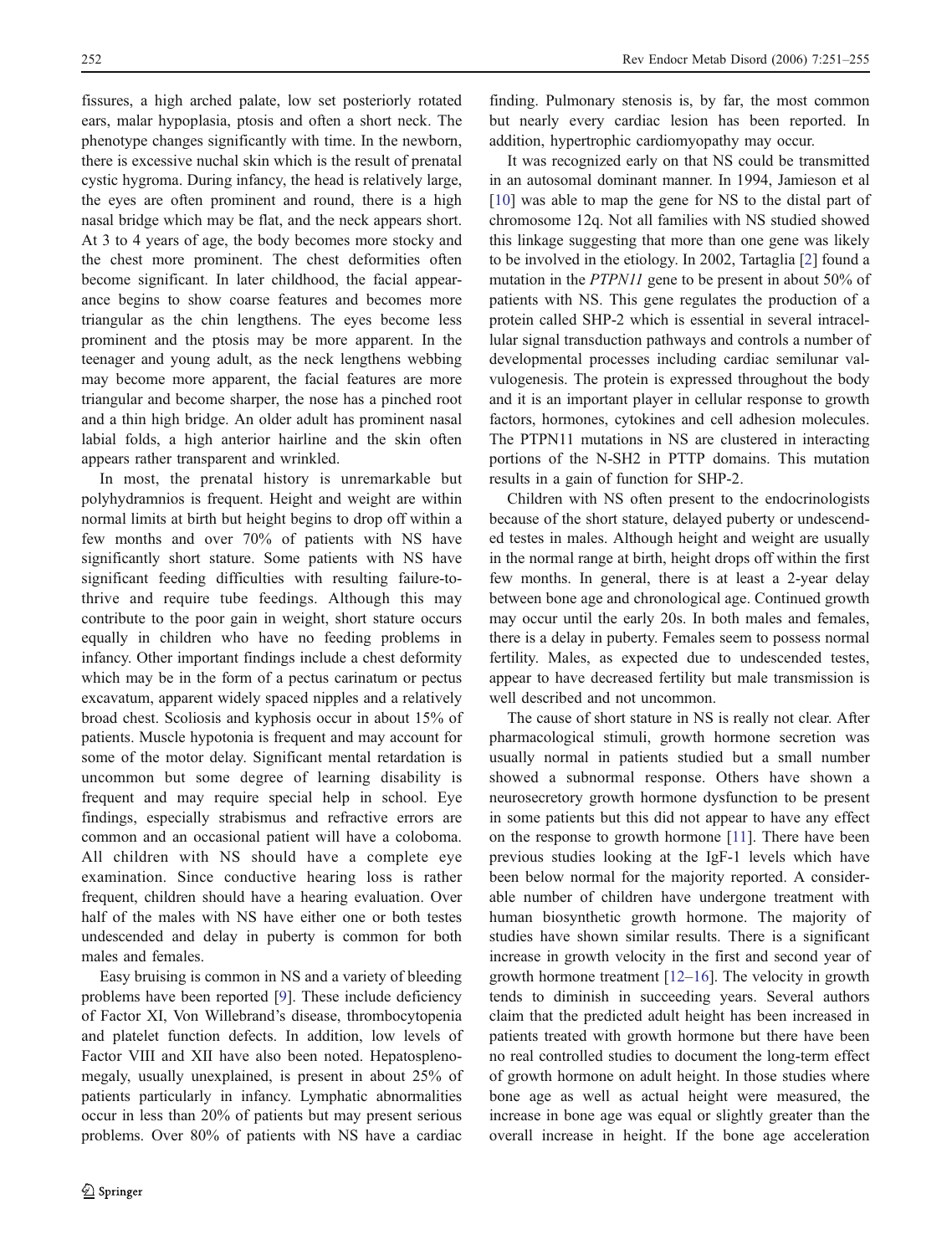fissures, a high arched palate, low set posteriorly rotated ears, malar hypoplasia, ptosis and often a short neck. The phenotype changes significantly with time. In the newborn, there is excessive nuchal skin which is the result of prenatal cystic hygroma. During infancy, the head is relatively large, the eyes are often prominent and round, there is a high nasal bridge which may be flat, and the neck appears short. At 3 to 4 years of age, the body becomes more stocky and the chest more prominent. The chest deformities often become significant. In later childhood, the facial appearance begins to show coarse features and becomes more triangular as the chin lengthens. The eyes become less prominent and the ptosis may be more apparent. In the teenager and young adult, as the neck lengthens webbing may become more apparent, the facial features are more triangular and become sharper, the nose has a pinched root and a thin high bridge. An older adult has prominent nasal labial folds, a high anterior hairline and the skin often appears rather transparent and wrinkled.

In most, the prenatal history is unremarkable but polyhydramnios is frequent. Height and weight are within normal limits at birth but height begins to drop off within a few months and over 70% of patients with NS have significantly short stature. Some patients with NS have significant feeding difficulties with resulting failure-tothrive and require tube feedings. Although this may contribute to the poor gain in weight, short stature occurs equally in children who have no feeding problems in infancy. Other important findings include a chest deformity which may be in the form of a pectus carinatum or pectus excavatum, apparent widely spaced nipples and a relatively broad chest. Scoliosis and kyphosis occur in about 15% of patients. Muscle hypotonia is frequent and may account for some of the motor delay. Significant mental retardation is uncommon but some degree of learning disability is frequent and may require special help in school. Eye findings, especially strabismus and refractive errors are common and an occasional patient will have a coloboma. All children with NS should have a complete eye examination. Since conductive hearing loss is rather frequent, children should have a hearing evaluation. Over half of the males with NS have either one or both testes undescended and delay in puberty is common for both males and females.

Easy bruising is common in NS and a variety of bleeding problems have been reported [[9\]](#page-4-0). These include deficiency of Factor XI, Von Willebrand's disease, thrombocytopenia and platelet function defects. In addition, low levels of Factor VIII and XII have also been noted. Hepatosplenomegaly, usually unexplained, is present in about 25% of patients particularly in infancy. Lymphatic abnormalities occur in less than 20% of patients but may present serious problems. Over 80% of patients with NS have a cardiac

finding. Pulmonary stenosis is, by far, the most common but nearly every cardiac lesion has been reported. In addition, hypertrophic cardiomyopathy may occur.

It was recognized early on that NS could be transmitted in an autosomal dominant manner. In 1994, Jamieson et al [\[10](#page-4-0)] was able to map the gene for NS to the distal part of chromosome 12q. Not all families with NS studied showed this linkage suggesting that more than one gene was likely to be involved in the etiology. In 2002, Tartaglia [\[2](#page-4-0)] found a mutation in the PTPN11 gene to be present in about 50% of patients with NS. This gene regulates the production of a protein called SHP-2 which is essential in several intracellular signal transduction pathways and controls a number of developmental processes including cardiac semilunar valvulogenesis. The protein is expressed throughout the body and it is an important player in cellular response to growth factors, hormones, cytokines and cell adhesion molecules. The PTPN11 mutations in NS are clustered in interacting portions of the N-SH2 in PTTP domains. This mutation results in a gain of function for SHP-2.

Children with NS often present to the endocrinologists because of the short stature, delayed puberty or undescended testes in males. Although height and weight are usually in the normal range at birth, height drops off within the first few months. In general, there is at least a 2-year delay between bone age and chronological age. Continued growth may occur until the early 20s. In both males and females, there is a delay in puberty. Females seem to possess normal fertility. Males, as expected due to undescended testes, appear to have decreased fertility but male transmission is well described and not uncommon.

The cause of short stature in NS is really not clear. After pharmacological stimuli, growth hormone secretion was usually normal in patients studied but a small number showed a subnormal response. Others have shown a neurosecretory growth hormone dysfunction to be present in some patients but this did not appear to have any effect on the response to growth hormone [[11\]](#page-4-0). There have been previous studies looking at the IgF-1 levels which have been below normal for the majority reported. A considerable number of children have undergone treatment with human biosynthetic growth hormone. The majority of studies have shown similar results. There is a significant increase in growth velocity in the first and second year of growth hormone treatment [[12](#page-4-0)–[16\]](#page-4-0). The velocity in growth tends to diminish in succeeding years. Several authors claim that the predicted adult height has been increased in patients treated with growth hormone but there have been no real controlled studies to document the long-term effect of growth hormone on adult height. In those studies where bone age as well as actual height were measured, the increase in bone age was equal or slightly greater than the overall increase in height. If the bone age acceleration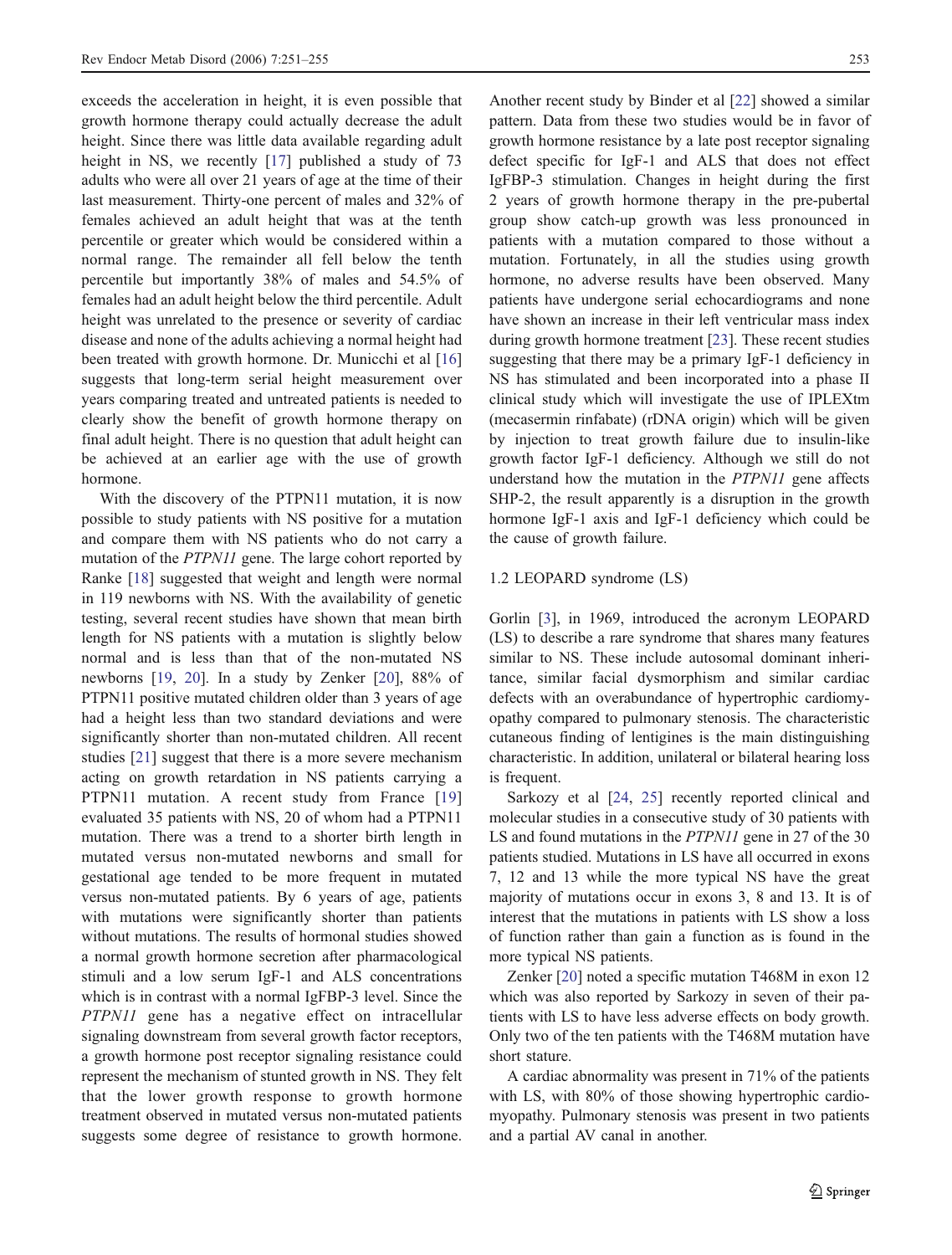exceeds the acceleration in height, it is even possible that growth hormone therapy could actually decrease the adult height. Since there was little data available regarding adult height in NS, we recently [\[17](#page-4-0)] published a study of 73 adults who were all over 21 years of age at the time of their last measurement. Thirty-one percent of males and 32% of females achieved an adult height that was at the tenth percentile or greater which would be considered within a normal range. The remainder all fell below the tenth percentile but importantly 38% of males and 54.5% of females had an adult height below the third percentile. Adult height was unrelated to the presence or severity of cardiac disease and none of the adults achieving a normal height had been treated with growth hormone. Dr. Municchi et al [[16\]](#page-4-0) suggests that long-term serial height measurement over years comparing treated and untreated patients is needed to clearly show the benefit of growth hormone therapy on final adult height. There is no question that adult height can be achieved at an earlier age with the use of growth hormone.

With the discovery of the PTPN11 mutation, it is now possible to study patients with NS positive for a mutation and compare them with NS patients who do not carry a mutation of the *PTPN11* gene. The large cohort reported by Ranke [\[18](#page-4-0)] suggested that weight and length were normal in 119 newborns with NS. With the availability of genetic testing, several recent studies have shown that mean birth length for NS patients with a mutation is slightly below normal and is less than that of the non-mutated NS newborns [[19,](#page-4-0) [20](#page-4-0)]. In a study by Zenker [[20\]](#page-4-0), 88% of PTPN11 positive mutated children older than 3 years of age had a height less than two standard deviations and were significantly shorter than non-mutated children. All recent studies [[21\]](#page-4-0) suggest that there is a more severe mechanism acting on growth retardation in NS patients carrying a PTPN11 mutation. A recent study from France [[19\]](#page-4-0) evaluated 35 patients with NS, 20 of whom had a PTPN11 mutation. There was a trend to a shorter birth length in mutated versus non-mutated newborns and small for gestational age tended to be more frequent in mutated versus non-mutated patients. By 6 years of age, patients with mutations were significantly shorter than patients without mutations. The results of hormonal studies showed a normal growth hormone secretion after pharmacological stimuli and a low serum IgF-1 and ALS concentrations which is in contrast with a normal IgFBP-3 level. Since the PTPN11 gene has a negative effect on intracellular signaling downstream from several growth factor receptors, a growth hormone post receptor signaling resistance could represent the mechanism of stunted growth in NS. They felt that the lower growth response to growth hormone treatment observed in mutated versus non-mutated patients suggests some degree of resistance to growth hormone.

Another recent study by Binder et al [[22\]](#page-4-0) showed a similar pattern. Data from these two studies would be in favor of growth hormone resistance by a late post receptor signaling defect specific for IgF-1 and ALS that does not effect IgFBP-3 stimulation. Changes in height during the first 2 years of growth hormone therapy in the pre-pubertal group show catch-up growth was less pronounced in patients with a mutation compared to those without a mutation. Fortunately, in all the studies using growth hormone, no adverse results have been observed. Many patients have undergone serial echocardiograms and none have shown an increase in their left ventricular mass index during growth hormone treatment [[23\]](#page-4-0). These recent studies suggesting that there may be a primary IgF-1 deficiency in NS has stimulated and been incorporated into a phase II clinical study which will investigate the use of IPLEXtm (mecasermin rinfabate) (rDNA origin) which will be given by injection to treat growth failure due to insulin-like growth factor IgF-1 deficiency. Although we still do not understand how the mutation in the PTPN11 gene affects SHP-2, the result apparently is a disruption in the growth hormone IgF-1 axis and IgF-1 deficiency which could be the cause of growth failure.

#### 1.2 LEOPARD syndrome (LS)

Gorlin [\[3](#page-4-0)], in 1969, introduced the acronym LEOPARD (LS) to describe a rare syndrome that shares many features similar to NS. These include autosomal dominant inheritance, similar facial dysmorphism and similar cardiac defects with an overabundance of hypertrophic cardiomyopathy compared to pulmonary stenosis. The characteristic cutaneous finding of lentigines is the main distinguishing characteristic. In addition, unilateral or bilateral hearing loss is frequent.

Sarkozy et al [[24,](#page-4-0) [25](#page-4-0)] recently reported clinical and molecular studies in a consecutive study of 30 patients with LS and found mutations in the *PTPN11* gene in 27 of the 30 patients studied. Mutations in LS have all occurred in exons 7, 12 and 13 while the more typical NS have the great majority of mutations occur in exons 3, 8 and 13. It is of interest that the mutations in patients with LS show a loss of function rather than gain a function as is found in the more typical NS patients.

Zenker [\[20](#page-4-0)] noted a specific mutation T468M in exon 12 which was also reported by Sarkozy in seven of their patients with LS to have less adverse effects on body growth. Only two of the ten patients with the T468M mutation have short stature.

A cardiac abnormality was present in 71% of the patients with LS, with 80% of those showing hypertrophic cardiomyopathy. Pulmonary stenosis was present in two patients and a partial AV canal in another.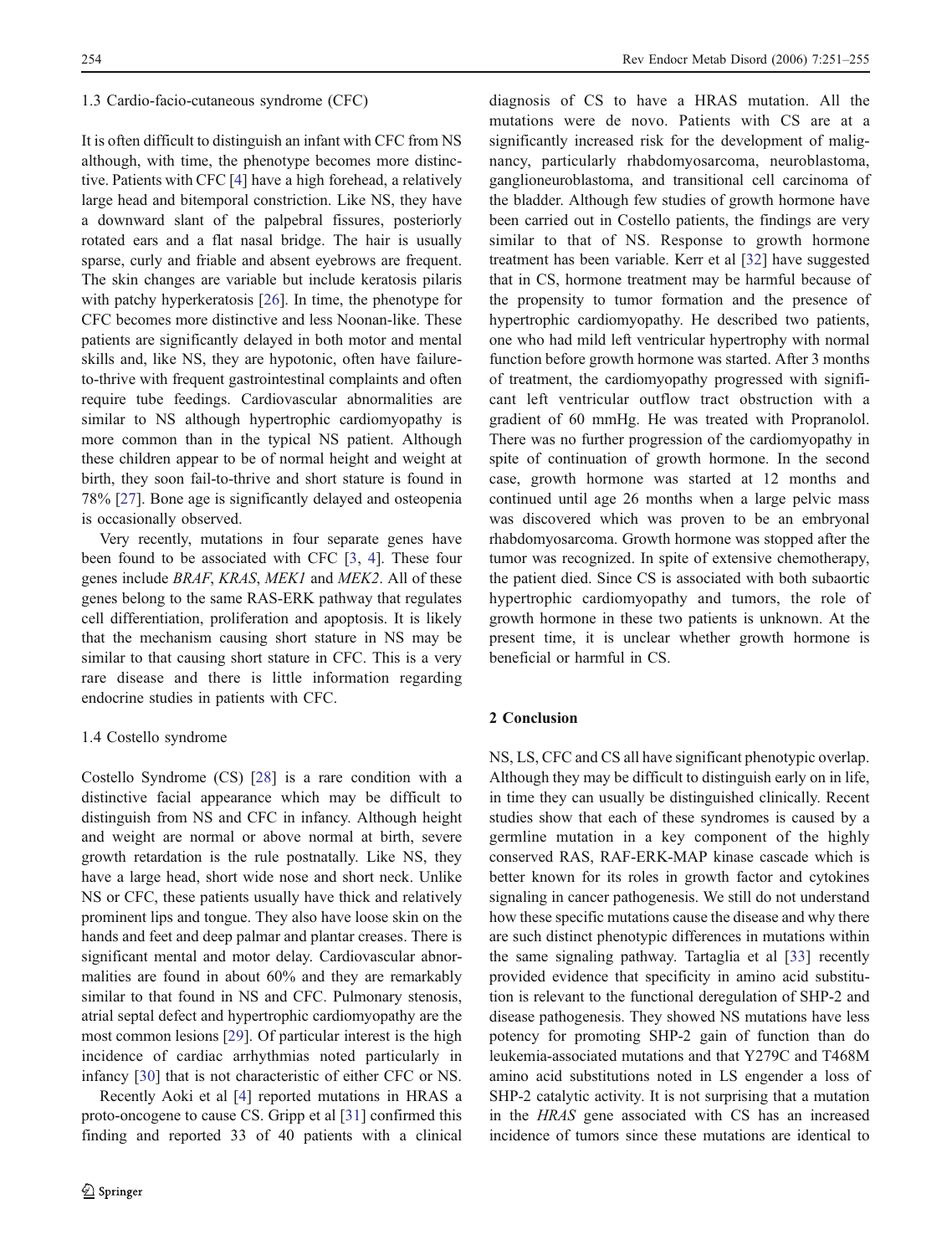# 1.3 Cardio-facio-cutaneous syndrome (CFC)

It is often difficult to distinguish an infant with CFC from NS although, with time, the phenotype becomes more distinctive. Patients with CFC [[4\]](#page-4-0) have a high forehead, a relatively large head and bitemporal constriction. Like NS, they have a downward slant of the palpebral fissures, posteriorly rotated ears and a flat nasal bridge. The hair is usually sparse, curly and friable and absent eyebrows are frequent. The skin changes are variable but include keratosis pilaris with patchy hyperkeratosis [\[26](#page-4-0)]. In time, the phenotype for CFC becomes more distinctive and less Noonan-like. These patients are significantly delayed in both motor and mental skills and, like NS, they are hypotonic, often have failureto-thrive with frequent gastrointestinal complaints and often require tube feedings. Cardiovascular abnormalities are similar to NS although hypertrophic cardiomyopathy is more common than in the typical NS patient. Although these children appear to be of normal height and weight at birth, they soon fail-to-thrive and short stature is found in 78% [\[27](#page-4-0)]. Bone age is significantly delayed and osteopenia is occasionally observed.

Very recently, mutations in four separate genes have been found to be associated with CFC [[3,](#page-4-0) [4](#page-4-0)]. These four genes include BRAF, KRAS, MEK1 and MEK2. All of these genes belong to the same RAS-ERK pathway that regulates cell differentiation, proliferation and apoptosis. It is likely that the mechanism causing short stature in NS may be similar to that causing short stature in CFC. This is a very rare disease and there is little information regarding endocrine studies in patients with CFC.

#### 1.4 Costello syndrome

Costello Syndrome (CS) [\[28\]](#page-4-0) is a rare condition with a distinctive facial appearance which may be difficult to distinguish from NS and CFC in infancy. Although height and weight are normal or above normal at birth, severe growth retardation is the rule postnatally. Like NS, they have a large head, short wide nose and short neck. Unlike NS or CFC, these patients usually have thick and relatively prominent lips and tongue. They also have loose skin on the hands and feet and deep palmar and plantar creases. There is significant mental and motor delay. Cardiovascular abnormalities are found in about 60% and they are remarkably similar to that found in NS and CFC. Pulmonary stenosis, atrial septal defect and hypertrophic cardiomyopathy are the most common lesions [[29\]](#page-4-0). Of particular interest is the high incidence of cardiac arrhythmias noted particularly in infancy [\[30](#page-4-0)] that is not characteristic of either CFC or NS.

Recently Aoki et al [\[4](#page-4-0)] reported mutations in HRAS a proto-oncogene to cause CS. Gripp et al [[31\]](#page-4-0) confirmed this finding and reported 33 of 40 patients with a clinical

diagnosis of CS to have a HRAS mutation. All the mutations were de novo. Patients with CS are at a significantly increased risk for the development of malignancy, particularly rhabdomyosarcoma, neuroblastoma, ganglioneuroblastoma, and transitional cell carcinoma of the bladder. Although few studies of growth hormone have been carried out in Costello patients, the findings are very similar to that of NS. Response to growth hormone treatment has been variable. Kerr et al [[32\]](#page-4-0) have suggested that in CS, hormone treatment may be harmful because of the propensity to tumor formation and the presence of hypertrophic cardiomyopathy. He described two patients, one who had mild left ventricular hypertrophy with normal function before growth hormone was started. After 3 months of treatment, the cardiomyopathy progressed with significant left ventricular outflow tract obstruction with a gradient of 60 mmHg. He was treated with Propranolol. There was no further progression of the cardiomyopathy in spite of continuation of growth hormone. In the second case, growth hormone was started at 12 months and continued until age 26 months when a large pelvic mass was discovered which was proven to be an embryonal rhabdomyosarcoma. Growth hormone was stopped after the tumor was recognized. In spite of extensive chemotherapy, the patient died. Since CS is associated with both subaortic hypertrophic cardiomyopathy and tumors, the role of growth hormone in these two patients is unknown. At the present time, it is unclear whether growth hormone is beneficial or harmful in CS.

# 2 Conclusion

NS, LS, CFC and CS all have significant phenotypic overlap. Although they may be difficult to distinguish early on in life, in time they can usually be distinguished clinically. Recent studies show that each of these syndromes is caused by a germline mutation in a key component of the highly conserved RAS, RAF-ERK-MAP kinase cascade which is better known for its roles in growth factor and cytokines signaling in cancer pathogenesis. We still do not understand how these specific mutations cause the disease and why there are such distinct phenotypic differences in mutations within the same signaling pathway. Tartaglia et al [\[33](#page-4-0)] recently provided evidence that specificity in amino acid substitution is relevant to the functional deregulation of SHP-2 and disease pathogenesis. They showed NS mutations have less potency for promoting SHP-2 gain of function than do leukemia-associated mutations and that Y279C and T468M amino acid substitutions noted in LS engender a loss of SHP-2 catalytic activity. It is not surprising that a mutation in the HRAS gene associated with CS has an increased incidence of tumors since these mutations are identical to